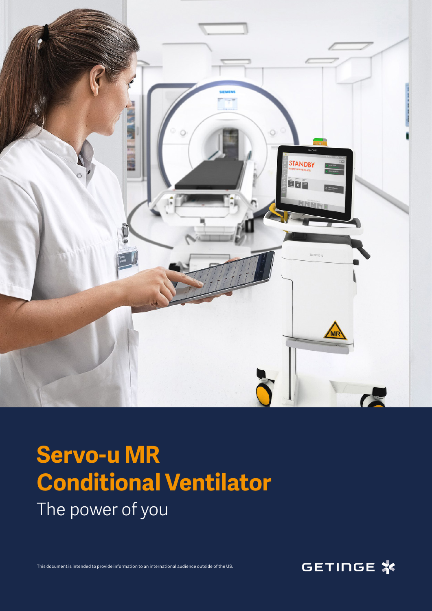

## **Servo-u MR Conditional Ventilator** The power of you

This document is intended to provide information to an international audience outside of the US. This document is intended to provide information to an international audience outside of the US.

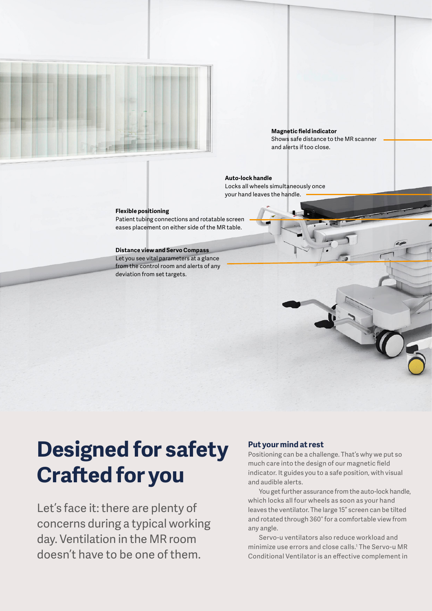

### **Magnetic field indicator**  Shows safe distance to the MR scanner and alerts if too close.

**Auto-lock handle** Locks all wheels simultaneously once your hand leaves the handle.

### **Flexible positioning**

Patient tubing connections and rotatable screen eases placement on either side of the MR table.

### **Distance view and Servo Compass**

Let you see vital parameters at a glance from the control room and alerts of any deviation from set targets.

# **Designed for safety Crafted for you**

Let's face it: there are plenty of concerns during a typical working day. Ventilation in the MR room doesn't have to be one of them.

### **Put your mind at rest**

Positioning can be a challenge. That's why we put so much care into the design of our magnetic field indicator. It guides you to a safe position, with visual and audible alerts.

You get further assurance from the auto-lock handle, which locks all four wheels as soon as your hand leaves the ventilator. The large 15" screen can be tilted and rotated through 360° for a comfortable view from any angle.

Servo-u ventilators also reduce workload and minimize use errors and close calls.1 The Servo-u MR Conditional Ventilator is an effective complement in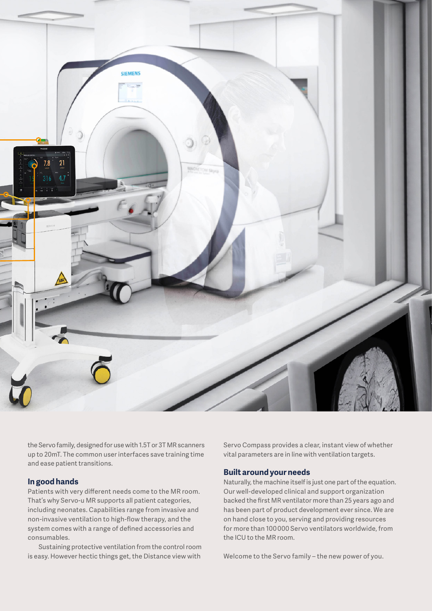

the Servo family, designed for use with 1.5T or 3T MR scanners up to 20mT. The common user interfaces save training time and ease patient transitions.

## **In good hands**

Patients with very different needs come to the MR room. That's why Servo-u MR supports all patient categories, including neonates. Capabilities range from invasive and non-invasive ventilation to high-flow therapy, and the system comes with a range of defined accessories and consumables.

Sustaining protective ventilation from the control room is easy. However hectic things get, the Distance view with

Servo Compass provides a clear, instant view of whether vital parameters are in line with ventilation targets.

## **Built around your needs**

Naturally, the machine itself is just one part of the equation. Our well-developed clinical and support organization backed the first MR ventilator more than 25 years ago and has been part of product development ever since. We are on hand close to you, serving and providing resources for more than 100 000 Servo ventilators worldwide, from the ICU to the MR room.

Welcome to the Servo family – the new power of you.